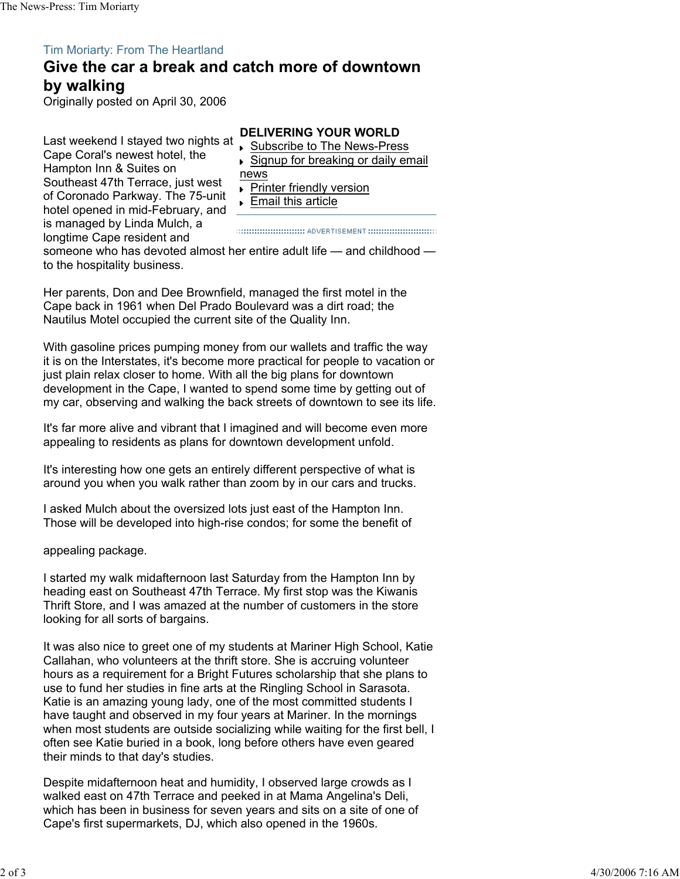## Tim Moriarty: From The Heartland

## **Give the car a break and catch more of downtown by walking**

Originally posted on April 30, 2006

Last weekend I stayed two nights at Cape Coral's newest hotel, the Hampton Inn & Suites on Southeast 47th Terrace, just west of Coronado Parkway. The 75-unit hotel opened in mid-February, and is managed by Linda Mulch, a longtime Cape resident and

## **DELIVERING YOUR WORLD**

- **▶ Subscribe to The News-Press**
- ► Signup for breaking or daily email
- news
- **Printer friendly version**
- Email this article

someone who has devoted almost her entire adult life - and childhood to the hospitality business.

Her parents, Don and Dee Brownfield, managed the first motel in the Cape back in 1961 when Del Prado Boulevard was a dirt road; the Nautilus Motel occupied the current site of the Quality Inn.

With gasoline prices pumping money from our wallets and traffic the way it is on the Interstates, it's become more practical for people to vacation or just plain relax closer to home. With all the big plans for downtown development in the Cape, I wanted to spend some time by getting out of my car, observing and walking the back streets of downtown to see its life.

It's far more alive and vibrant that I imagined and will become even more appealing to residents as plans for downtown development unfold.

It's interesting how one gets an entirely different perspective of what is around you when you walk rather than zoom by in our cars and trucks.

I asked Mulch about the oversized lots just east of the Hampton Inn. Those will be developed into high-rise condos; for some the benefit of

appealing package.

I started my walk midafternoon last Saturday from the Hampton Inn by heading east on Southeast 47th Terrace. My first stop was the Kiwanis Thrift Store, and I was amazed at the number of customers in the store looking for all sorts of bargains.

It was also nice to greet one of my students at Mariner High School, Katie Callahan, who volunteers at the thrift store. She is accruing volunteer hours as a requirement for a Bright Futures scholarship that she plans to use to fund her studies in fine arts at the Ringling School in Sarasota. Katie is an amazing young lady, one of the most committed students I have taught and observed in my four years at Mariner. In the mornings when most students are outside socializing while waiting for the first bell, I often see Katie buried in a book, long before others have even geared their minds to that day's studies.

Despite midafternoon heat and humidity, I observed large crowds as I walked east on 47th Terrace and peeked in at Mama Angelina's Deli, which has been in business for seven years and sits on a site of one of Cape's first supermarkets, DJ, which also opened in the 1960s.